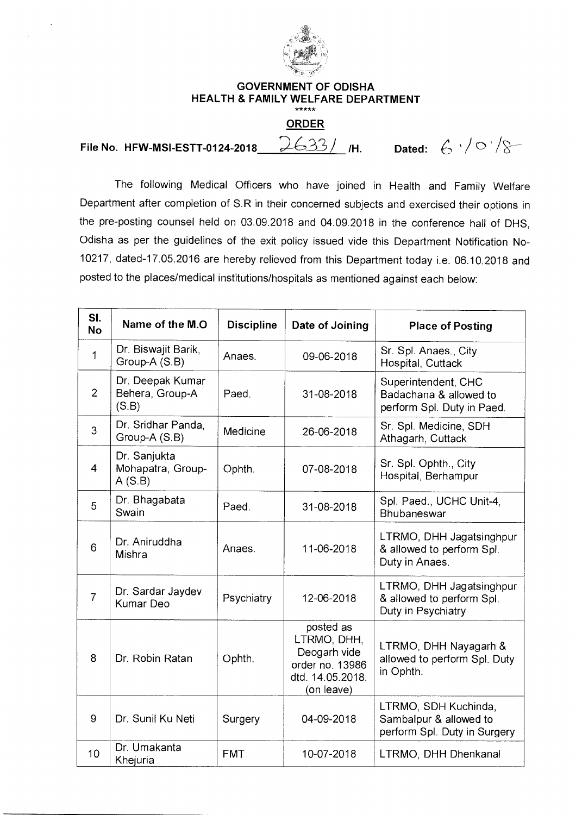

 $\frac{1}{\lambda}$ 

## **GOVERNMENT OF ODISHA HEALTH & FAMILY WELFARE DEPARTMENT**

## **ORDER**

**File No. HFW-MSI-ESTT-0124-2018** 2633/ /H. Dated:  $6 \sqrt{0}$ 

The following Medical Officers who have joined in Health and Family Welfare Department after completion of S.R in their concerned subjects and exercised their options in the pre-posting counsel held on 03.09.2018 and 04.09.2018 in the conference hall of DHS, Odisha as per the guidelines of the exit policy issued vide this Department Notification No-10217, dated-17.05.2016 are hereby relieved from this Department today i.e. 06.10.2018 and posted to the places/medical institutions/hospitals as mentioned against each below:

| SI.<br><b>No</b> | Name of the M.O.                             | <b>Discipline</b> | Date of Joining                                                                               | <b>Place of Posting</b>                                                        |
|------------------|----------------------------------------------|-------------------|-----------------------------------------------------------------------------------------------|--------------------------------------------------------------------------------|
| $\mathbf{1}$     | Dr. Biswajit Barik,<br>Group-A (S.B)         | Anaes.            | 09-06-2018                                                                                    | Sr. Spl. Anaes., City<br>Hospital, Cuttack                                     |
| 2                | Dr. Deepak Kumar<br>Behera, Group-A<br>(S.B) | Paed.             | 31-08-2018                                                                                    | Superintendent, CHC<br>Badachana & allowed to<br>perform Spl. Duty in Paed.    |
| 3                | Dr. Sridhar Panda,<br>Group-A (S.B)          | Medicine          | 26-06-2018                                                                                    | Sr. Spl. Medicine, SDH<br>Athagarh, Cuttack                                    |
| $\overline{4}$   | Dr. Sanjukta<br>Mohapatra, Group-<br>A(S.B)  | Ophth.            | 07-08-2018                                                                                    | Sr. Spl. Ophth., City<br>Hospital, Berhampur                                   |
| 5                | Dr. Bhagabata<br>Swain                       | Paed.             | 31-08-2018                                                                                    | Spl. Paed., UCHC Unit-4,<br>Bhubaneswar                                        |
| 6                | Dr. Aniruddha<br>Mishra                      | Anaes.            | 11-06-2018                                                                                    | LTRMO, DHH Jagatsinghpur<br>& allowed to perform Spl.<br>Duty in Anaes.        |
| $\overline{7}$   | Dr. Sardar Jaydev<br><b>Kumar Deo</b>        | Psychiatry        | 12-06-2018                                                                                    | LTRMO, DHH Jagatsinghpur<br>& allowed to perform Spl.<br>Duty in Psychiatry    |
| 8                | Dr. Robin Ratan                              | Ophth.            | posted as<br>LTRMO, DHH,<br>Deogarh vide<br>order no. 13986<br>dtd. 14.05.2018.<br>(on leave) | LTRMO, DHH Nayagarh &<br>allowed to perform Spl. Duty<br>in Ophth.             |
| 9                | Dr. Sunil Ku Neti                            | Surgery           | 04-09-2018                                                                                    | LTRMO, SDH Kuchinda,<br>Sambalpur & allowed to<br>perform Spl. Duty in Surgery |
| 10               | Dr. Umakanta<br>Khejuria                     | <b>FMT</b>        | 10-07-2018                                                                                    | LTRMO, DHH Dhenkanal                                                           |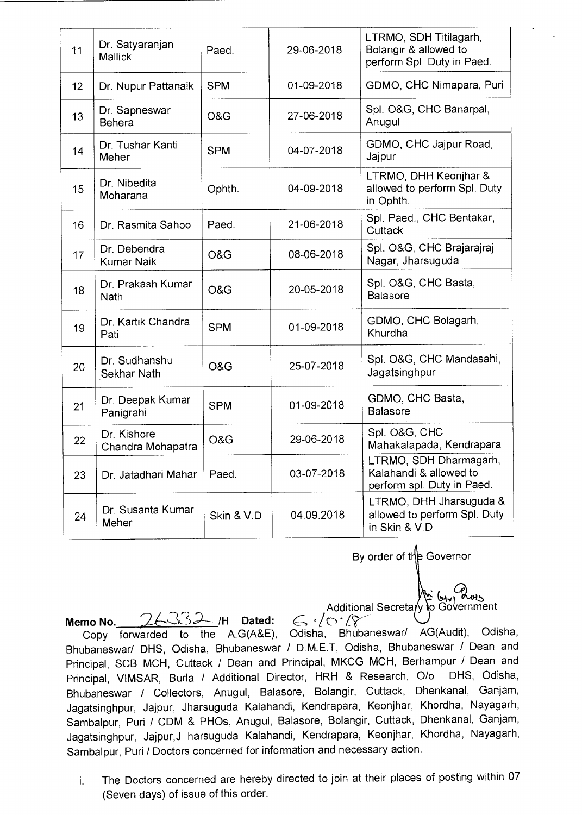| 11 | Dr. Satyaranjan<br>Mallick        | Paed.      | 29-06-2018 | LTRMO, SDH Titilagarh,<br>Bolangir & allowed to<br>perform Spl. Duty in Paed.  |
|----|-----------------------------------|------------|------------|--------------------------------------------------------------------------------|
| 12 | Dr. Nupur Pattanaik               | <b>SPM</b> | 01-09-2018 | GDMO, CHC Nimapara, Puri                                                       |
| 13 | Dr. Sapneswar<br>Behera           | O&G        | 27-06-2018 | Spl. O&G, CHC Banarpal,<br>Anugul                                              |
| 14 | Dr. Tushar Kanti<br>Meher         | <b>SPM</b> | 04-07-2018 | GDMO, CHC Jajpur Road,<br>Jajpur                                               |
| 15 | Dr. Nibedita<br>Moharana          | Ophth.     | 04-09-2018 | LTRMO, DHH Keonjhar &<br>allowed to perform Spl. Duty<br>in Ophth.             |
| 16 | Dr. Rasmita Sahoo                 | Paed.      | 21-06-2018 | Spl. Paed., CHC Bentakar,<br>Cuttack                                           |
| 17 | Dr. Debendra<br><b>Kumar Naik</b> | O&G        | 08-06-2018 | Spl. O&G, CHC Brajarajraj<br>Nagar, Jharsuguda                                 |
| 18 | Dr. Prakash Kumar<br><b>Nath</b>  | O&G        | 20-05-2018 | Spl. O&G, CHC Basta,<br><b>Balasore</b>                                        |
| 19 | Dr. Kartik Chandra<br>Pati        | <b>SPM</b> | 01-09-2018 | GDMO, CHC Bolagarh,<br>Khurdha                                                 |
| 20 | Dr. Sudhanshu<br>Sekhar Nath      | O&G        | 25-07-2018 | Spl. O&G, CHC Mandasahi,<br>Jagatsinghpur                                      |
| 21 | Dr. Deepak Kumar<br>Panigrahi     | <b>SPM</b> | 01-09-2018 | GDMO, CHC Basta,<br><b>Balasore</b>                                            |
| 22 | Dr. Kishore<br>Chandra Mohapatra  | O&G        | 29-06-2018 | Spl. O&G, CHC<br>Mahakalapada, Kendrapara                                      |
| 23 | Dr. Jatadhari Mahar               | Paed.      | 03-07-2018 | LTRMO, SDH Dharmagarh,<br>Kalahandi & allowed to<br>perform spl. Duty in Paed. |
| 24 | Dr. Susanta Kumar<br>Meher        | Skin & V.D | 04.09.2018 | LTRMO, DHH Jharsuguda &<br>allowed to perform Spl. Duty<br>in Skin & V.D       |

By order of the Governor

 $\mathbb{R}^{n}$ Additional Secretary to Government

Additional Secretary to Government<br>**Memo No.**<br>Copy forwarded to the A.G(A&E), Odisha, Bhubaneswar/ AG(Audit), Odisha, Bhubaneswar/ DHS, Odisha, Bhubaneswar / D.M.E.T, Odisha, Bhubaneswar / Dean and Principal, SCB MCH, Cuttack / Dean and Principal, MKCG MCH, Berhampur / Dean and Principal, VIMSAR, Burla / Additional Director, HRH & Research, 0/o DHS, Odisha, Bhubaneswar / Collectors, Anugul, Balasore, Bolangir, Cuttack, Dhenkanal, Ganjam, Jagatsinghpur, Jajpur, Jharsuguda Kalahandi, Kendrapara, Keonjhar, Khordha, Nayagarh, Sambalpur, Puri / CDM & PHOs, Anugul, Balasore, Bolangir, Cuttack, Dhenkanal, Ganjam, Jagatsinghpur, Jajpur,J harsuguda Kalahandi, Kendrapara, Keonjhar, Khordha, Nayagarh, Sambalpur, Puri / Doctors concerned for information and necessary action.

i. The Doctors concerned are hereby directed to join at their places of posting within 07 (Seven days) of issue of this order.